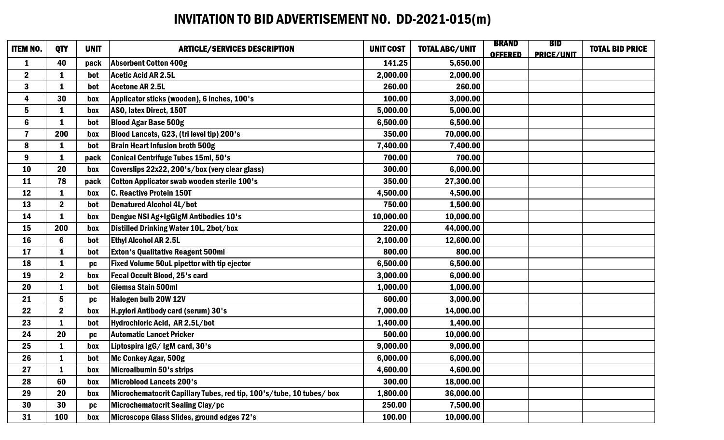## INVITATION TO BID ADVERTISEMENT NO. DD-2021-015(m)

| <b>ITEM NO.</b> | <b>QTY</b>       | <b>UNIT</b> | <b>ARTICLE/SERVICES DESCRIPTION</b>                                  | <b>UNIT COST</b> | <b>TOTAL ABC/UNIT</b> | <b>BRAND</b><br><b>OFFERED</b> | <b>BID</b><br><b>PRICE/UNIT</b> | <b>TOTAL BID PRICE</b> |
|-----------------|------------------|-------------|----------------------------------------------------------------------|------------------|-----------------------|--------------------------------|---------------------------------|------------------------|
| $\mathbf{1}$    | 40               | pack        | <b>Absorbent Cotton 400g</b>                                         | 141.25           | 5,650.00              |                                |                                 |                        |
| $\mathbf{2}$    | 1                | bot         | Acetic Acid AR 2.5L                                                  | 2,000.00         | 2,000.00              |                                |                                 |                        |
| 3               | 1                | bot         | Acetone AR 2.5L                                                      | 260.00           | 260.00                |                                |                                 |                        |
| 4               | 30               | box         | Applicator sticks (wooden), 6 inches, 100's                          | 100.00           | 3,000.00              |                                |                                 |                        |
| 5               | $\mathbf{1}$     | box         | ASO, latex Direct, 150T                                              | 5,000.00         | 5,000.00              |                                |                                 |                        |
| $6\phantom{a}$  | 1                | bot         | <b>Blood Agar Base 500g</b>                                          | 6,500.00         | 6,500.00              |                                |                                 |                        |
| $\overline{7}$  | 200              | box         | Blood Lancets, G23, (tri level tip) 200's                            | 350.00           | 70,000.00             |                                |                                 |                        |
| 8               | 1                | bot         | <b>Brain Heart Infusion broth 500g</b>                               | 7,400.00         | 7,400.00              |                                |                                 |                        |
| 9               | $\mathbf{1}$     | pack        | Conical Centrifuge Tubes 15ml, 50's                                  | 700.00           | 700.00                |                                |                                 |                        |
| <b>10</b>       | 20               | box         | Coverslips 22x22, 200's/box (very clear glass)                       | 300.00           | 6,000.00              |                                |                                 |                        |
| 11              | 78               | pack        | Cotton Applicator swab wooden sterile 100's                          | 350.00           | 27,300.00             |                                |                                 |                        |
| 12              | $\mathbf{1}$     | box         | <b>C. Reactive Protein 150T</b>                                      | 4,500.00         | 4,500.00              |                                |                                 |                        |
| 13              | $\boldsymbol{2}$ | bot         | Denatured Alcohol 4L/bot                                             | 750.00           | 1,500.00              |                                |                                 |                        |
| 14              | 1                | box         | Dengue NSI Ag+IgGIgM Antibodies 10's                                 | 10,000.00        | 10,000.00             |                                |                                 |                        |
| 15              | 200              | box         | <b>Distilled Drinking Water 10L, 2bot/box</b>                        | 220.00           | 44,000.00             |                                |                                 |                        |
| 16              | 6                | bot         | <b>Ethyl Alcohol AR 2.5L</b>                                         | 2,100.00         | 12,600.00             |                                |                                 |                        |
| 17              | $\mathbf{1}$     | bot         | <b>Exton's Qualitative Reagent 500ml</b>                             | 800.00           | 800.00                |                                |                                 |                        |
| 18              | $\mathbf{1}$     | pc          | <b>Fixed Volume 50uL pipettor with tip ejector</b>                   | 6,500.00         | 6,500.00              |                                |                                 |                        |
| 19              | $\boldsymbol{2}$ | box         | <b>Fecal Occult Blood, 25's card</b>                                 | 3,000.00         | 6,000.00              |                                |                                 |                        |
| 20              | $\mathbf{1}$     | bot         | <b>Giemsa Stain 500ml</b>                                            | 1,000.00         | 1,000.00              |                                |                                 |                        |
| 21              | 5                | pc          | Halogen bulb 20W 12V                                                 | 600.00           | 3,000.00              |                                |                                 |                        |
| 22              | $\boldsymbol{2}$ | box         | H.pylori Antibody card (serum) 30's                                  | 7,000.00         | 14,000.00             |                                |                                 |                        |
| 23              | 1                | bot         | Hydrochloric Acid, AR 2.5L/bot                                       | 1,400.00         | 1,400.00              |                                |                                 |                        |
| 24              | 20               | pc          | <b>Automatic Lancet Pricker</b>                                      | 500.00           | 10,000.00             |                                |                                 |                        |
| 25              | 1                | box         | Liptospira IgG/IgM card, 30's                                        | 9,000.00         | 9,000.00              |                                |                                 |                        |
| 26              |                  | bot         | Mc Conkey Agar, 500g                                                 | 6,000.00         | 6,000.00              |                                |                                 |                        |
| 27              | 1                | box         | Microalbumin 50's strips                                             | 4,600.00         | 4,600.00              |                                |                                 |                        |
| 28              | 60               | box         | <b>Microblood Lancets 200's</b>                                      | 300.00           | 18,000.00             |                                |                                 |                        |
| 29              | 20               | box         | Microchematocrit Capillary Tubes, red tip, 100's/tube, 10 tubes/ box | 1,800.00         | 36,000.00             |                                |                                 |                        |
| 30              | 30               | pc          | Microchematocrit Sealing Clay/pc                                     | 250.00           | 7,500.00              |                                |                                 |                        |
| 31              | 100              | box         | Microscope Glass Slides, ground edges 72's                           | 100.00           | 10,000.00             |                                |                                 |                        |